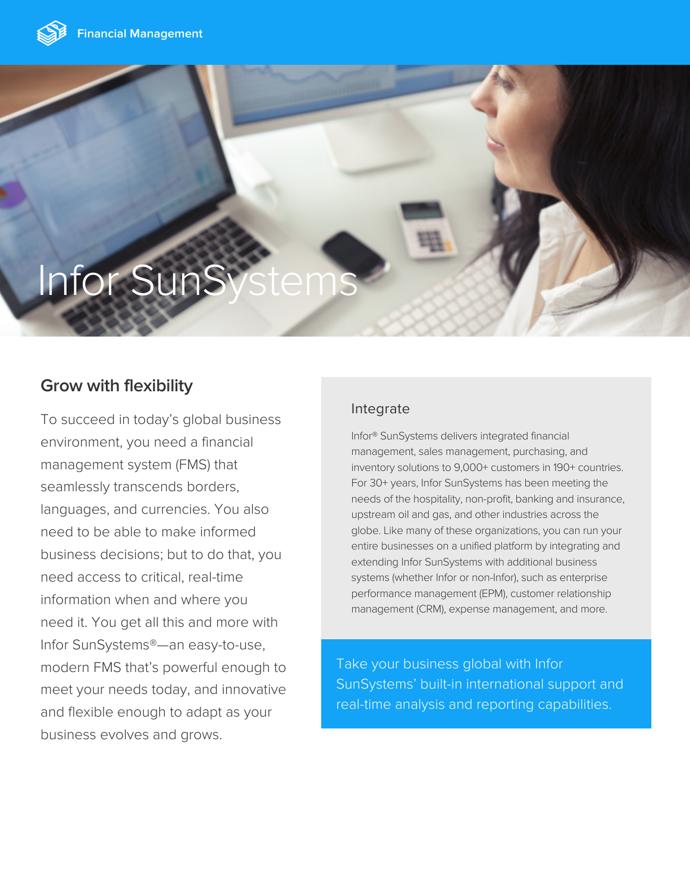

# **Infor SunS**

## **Grow with flexibility**

To succeed in today's global business environment, you need a financial management system (FMS) that seamlessly transcends borders, languages, and currencies. You also need to be able to make informed business decisions; but to do that, you need access to critical, real-time information when and where you need it. You get all this and more with Infor SunSystems®—an easy-to-use, modern FMS that's powerful enough to meet your needs today, and innovative and flexible enough to adapt as your business evolves and grows.

## Integrate

Infor® SunSystems delivers integrated financial management, sales management, purchasing, and inventory solutions to 9,000+ customers in 190+ countries. For 30+ years, Infor SunSystems has been meeting the needs of the hospitality, non-profit, banking and insurance, upstream oil and gas, and other industries across the globe. Like many of these organizations, you can run your entire businesses on a unified platform by integrating and extending Infor SunSystems with additional business systems (whether Infor or non-Infor), such as enterprise performance management (EPM), customer relationship management (CRM), expense management, and more.

Take your business global with Infor SunSystems' built-in international support and real-time analysis and reporting capabilities.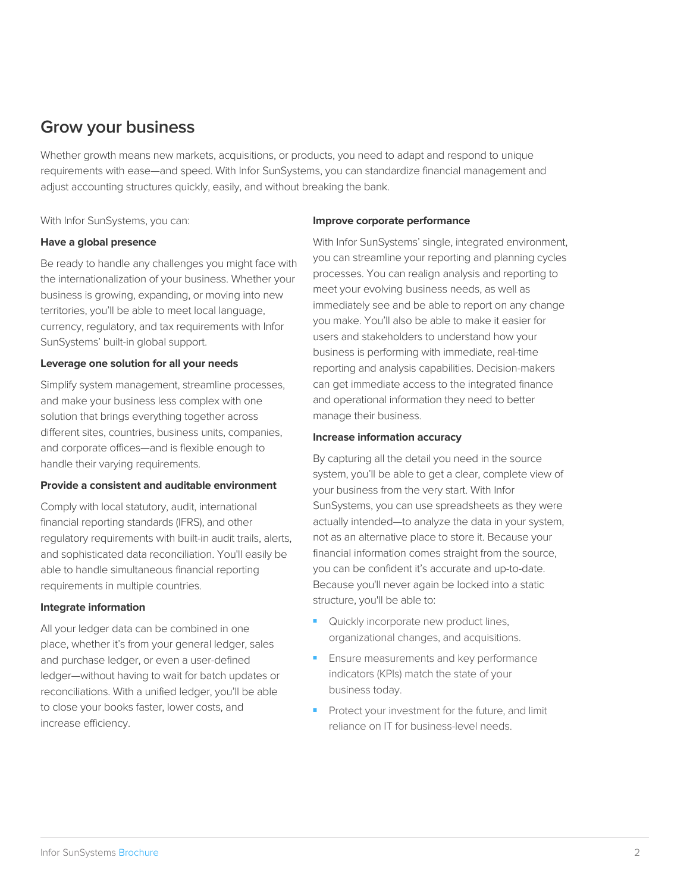## **Grow your business**

Whether growth means new markets, acquisitions, or products, you need to adapt and respond to unique requirements with ease—and speed. With Infor SunSystems, you can standardize financial management and adjust accounting structures quickly, easily, and without breaking the bank.

With Infor SunSystems, you can:

#### **Have a global presence**

Be ready to handle any challenges you might face with the internationalization of your business. Whether your business is growing, expanding, or moving into new territories, you'll be able to meet local language, currency, regulatory, and tax requirements with Infor SunSystems' built-in global support.

#### **Leverage one solution for all your needs**

Simplify system management, streamline processes, and make your business less complex with one solution that brings everything together across different sites, countries, business units, companies, and corporate offices—and is flexible enough to handle their varying requirements.

#### **Provide a consistent and auditable environment**

Comply with local statutory, audit, international financial reporting standards (IFRS), and other regulatory requirements with built-in audit trails, alerts, and sophisticated data reconciliation. You'll easily be able to handle simultaneous financial reporting requirements in multiple countries.

#### **Integrate information**

All your ledger data can be combined in one place, whether it's from your general ledger, sales and purchase ledger, or even a user-defined ledger—without having to wait for batch updates or reconciliations. With a unified ledger, you'll be able to close your books faster, lower costs, and increase efficiency.

#### **Improve corporate performance**

With Infor SunSystems' single, integrated environment, you can streamline your reporting and planning cycles processes. You can realign analysis and reporting to meet your evolving business needs, as well as immediately see and be able to report on any change you make. You'll also be able to make it easier for users and stakeholders to understand how your business is performing with immediate, real-time reporting and analysis capabilities. Decision-makers can get immediate access to the integrated finance and operational information they need to better manage their business.

#### **Increase information accuracy**

By capturing all the detail you need in the source system, you'll be able to get a clear, complete view of your business from the very start. With Infor SunSystems, you can use spreadsheets as they were actually intended—to analyze the data in your system, not as an alternative place to store it. Because your financial information comes straight from the source, you can be confident it's accurate and up-to-date. Because you'll never again be locked into a static structure, you'll be able to:

- Quickly incorporate new product lines, organizational changes, and acquisitions.
- Ensure measurements and key performance indicators (KPIs) match the state of your business today.
- Protect your investment for the future, and limit reliance on IT for business-level needs.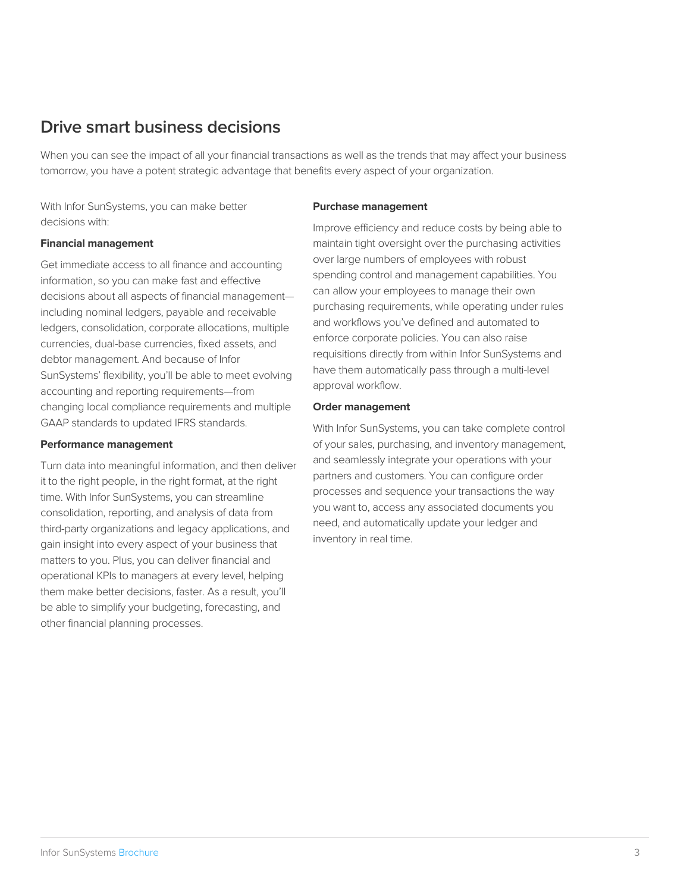## **Drive smart business decisions**

When you can see the impact of all your financial transactions as well as the trends that may affect your business tomorrow, you have a potent strategic advantage that benefits every aspect of your organization.

With Infor SunSystems, you can make better decisions with:

#### **Financial management**

Get immediate access to all finance and accounting information, so you can make fast and effective decisions about all aspects of financial management including nominal ledgers, payable and receivable ledgers, consolidation, corporate allocations, multiple currencies, dual-base currencies, fixed assets, and debtor management. And because of Infor SunSystems' flexibility, you'll be able to meet evolving accounting and reporting requirements—from changing local compliance requirements and multiple GAAP standards to updated IFRS standards.

#### **Performance management**

Turn data into meaningful information, and then deliver it to the right people, in the right format, at the right time. With Infor SunSystems, you can streamline consolidation, reporting, and analysis of data from third-party organizations and legacy applications, and gain insight into every aspect of your business that matters to you. Plus, you can deliver financial and operational KPIs to managers at every level, helping them make better decisions, faster. As a result, you'll be able to simplify your budgeting, forecasting, and other financial planning processes.

#### **Purchase management**

Improve efficiency and reduce costs by being able to maintain tight oversight over the purchasing activities over large numbers of employees with robust spending control and management capabilities. You can allow your employees to manage their own purchasing requirements, while operating under rules and workflows you've defined and automated to enforce corporate policies. You can also raise requisitions directly from within Infor SunSystems and have them automatically pass through a multi-level approval workflow.

#### **Order management**

With Infor SunSystems, you can take complete control of your sales, purchasing, and inventory management, and seamlessly integrate your operations with your partners and customers. You can configure order processes and sequence your transactions the way you want to, access any associated documents you need, and automatically update your ledger and inventory in real time.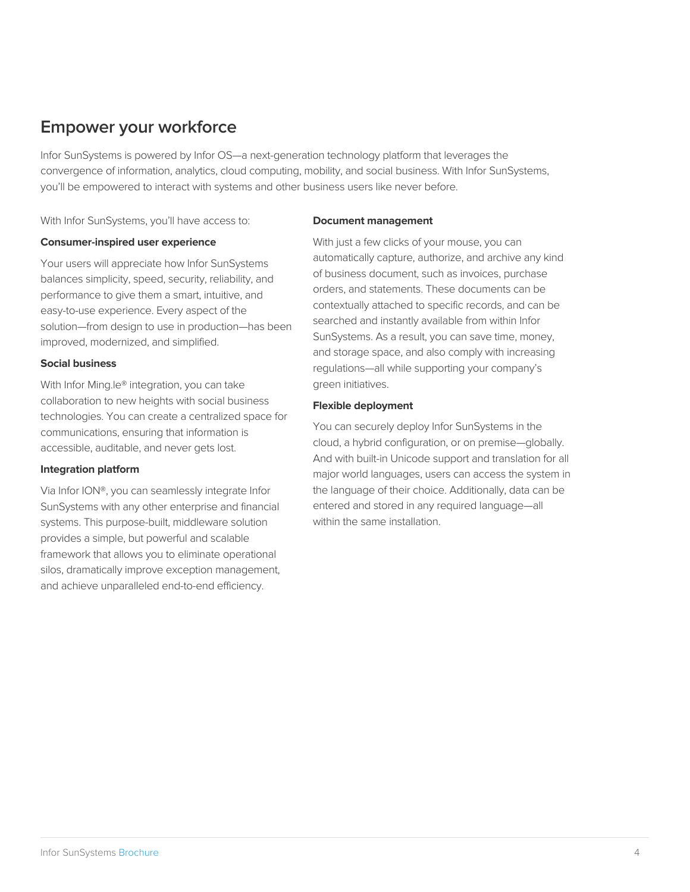## **Empower your workforce**

Infor SunSystems is powered by Infor OS—a next-generation technology platform that leverages the convergence of information, analytics, cloud computing, mobility, and social business. With Infor SunSystems, you'll be empowered to interact with systems and other business users like never before.

With Infor SunSystems, you'll have access to:

#### **Consumer-inspired user experience**

Your users will appreciate how Infor SunSystems balances simplicity, speed, security, reliability, and performance to give them a smart, intuitive, and easy-to-use experience. Every aspect of the solution—from design to use in production—has been improved, modernized, and simplified.

#### **Social business**

With Infor Ming.le® integration, you can take collaboration to new heights with social business technologies. You can create a centralized space for communications, ensuring that information is accessible, auditable, and never gets lost.

#### **Integration platform**

Via Infor ION®, you can seamlessly integrate Infor SunSystems with any other enterprise and financial systems. This purpose-built, middleware solution provides a simple, but powerful and scalable framework that allows you to eliminate operational silos, dramatically improve exception management, and achieve unparalleled end-to-end efficiency.

#### **Document management**

With just a few clicks of your mouse, you can automatically capture, authorize, and archive any kind of business document, such as invoices, purchase orders, and statements. These documents can be contextually attached to specific records, and can be searched and instantly available from within Infor SunSystems. As a result, you can save time, money, and storage space, and also comply with increasing regulations—all while supporting your company's green initiatives.

#### **Flexible deployment**

You can securely deploy Infor SunSystems in the cloud, a hybrid configuration, or on premise—globally. And with built-in Unicode support and translation for all major world languages, users can access the system in the language of their choice. Additionally, data can be entered and stored in any required language—all within the same installation.